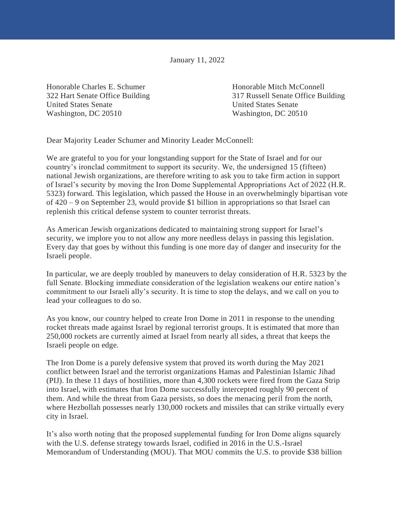January 11, 2022

Honorable Charles E. Schumer Honorable Mitch McConnell United States Senate United States Senate Washington, DC 20510 Washington, DC 20510

322 Hart Senate Office Building 317 Russell Senate Office Building

Dear Majority Leader Schumer and Minority Leader McConnell:

We are grateful to you for your longstanding support for the State of Israel and for our country's ironclad commitment to support its security. We, the undersigned 15 (fifteen) national Jewish organizations, are therefore writing to ask you to take firm action in support of Israel's security by moving the Iron Dome Supplemental Appropriations Act of 2022 (H.R. 5323) forward. This legislation, which passed the House in an overwhelmingly bipartisan vote of 420 – 9 on September 23, would provide \$1 billion in appropriations so that Israel can replenish this critical defense system to counter terrorist threats.

As American Jewish organizations dedicated to maintaining strong support for Israel's security, we implore you to not allow any more needless delays in passing this legislation. Every day that goes by without this funding is one more day of danger and insecurity for the Israeli people.

In particular, we are deeply troubled by maneuvers to delay consideration of H.R. 5323 by the full Senate. Blocking immediate consideration of the legislation weakens our entire nation's commitment to our Israeli ally's security. It is time to stop the delays, and we call on you to lead your colleagues to do so.

As you know, our country helped to create Iron Dome in 2011 in response to the unending rocket threats made against Israel by regional terrorist groups. It is estimated that more than 250,000 rockets are currently aimed at Israel from nearly all sides, a threat that keeps the Israeli people on edge.

The Iron Dome is a purely defensive system that proved its worth during the May 2021 conflict between Israel and the terrorist organizations Hamas and Palestinian Islamic Jihad (PIJ). In these 11 days of hostilities, more than 4,300 rockets were fired from the Gaza Strip into Israel, with estimates that Iron Dome successfully intercepted roughly 90 percent of them. And while the threat from Gaza persists, so does the menacing peril from the north, where Hezbollah possesses nearly 130,000 rockets and missiles that can strike virtually every city in Israel.

It's also worth noting that the proposed supplemental funding for Iron Dome aligns squarely with the U.S. defense strategy towards Israel, codified in 2016 in the U.S.-Israel Memorandum of Understanding (MOU). That MOU commits the U.S. to provide \$38 billion